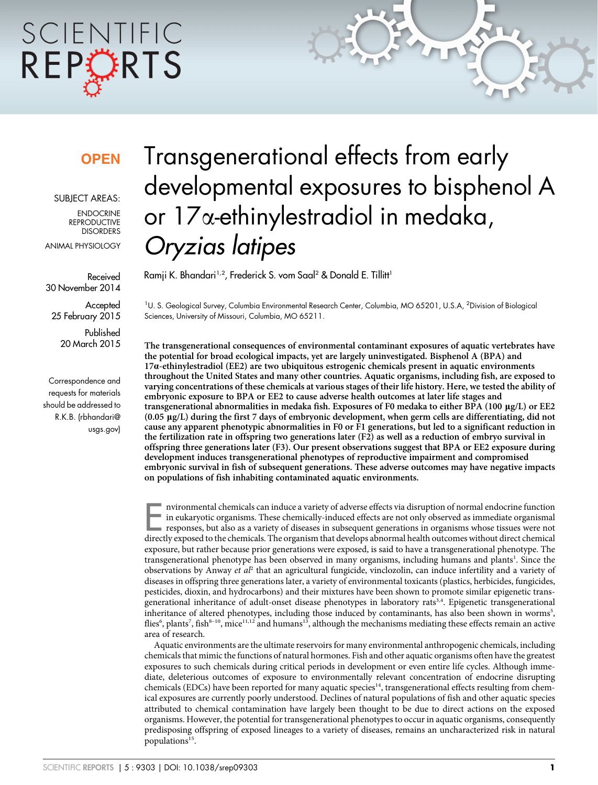# SCIENTIFIC REPCRTS

### **OPEN**

SUBJECT AREAS:

**ENDOCRINE REPRODUCTIVE** DISORDERS

ANIMAL PHYSIOLOGY

Received 30 November 2014

**Accepted** 25 February 2015

Published 20 March 2015

Correspondence and requests for materials should be addressed to R.K.B. ([rbhandari@](mailto:rbhandari@usgs.gov) [usgs.gov\)](mailto:rbhandari@usgs.gov)

## Transgenerational effects from early developmental exposures to bisphenol A or 17a-ethinylestradiol in medaka, Oryzias latipes

Ramji K. Bhandari<sup>1,2</sup>, Frederick S. vom Saal<sup>2</sup> & Donald E. Tillitt<sup>1</sup>

<sup>1</sup>U. S. Geological Survey, Columbia Environmental Research Center, Columbia, MO 65201, U.S.A, <sup>2</sup>Division of Biological Sciences, University of Missouri, Columbia, MO 65211.

The transgenerational consequences of environmental contaminant exposures of aquatic vertebrates have the potential for broad ecological impacts, yet are largely uninvestigated. Bisphenol A (BPA) and 17a-ethinylestradiol (EE2) are two ubiquitous estrogenic chemicals present in aquatic environments throughout the United States and many other countries. Aquatic organisms, including fish, are exposed to varying concentrations of these chemicals at various stages of their life history. Here, we tested the ability of embryonic exposure to BPA or EE2 to cause adverse health outcomes at later life stages and transgenerational abnormalities in medaka fish. Exposures of F0 medaka to either BPA (100 mg/L) or EE2 (0.05 mg/L) during the first 7 days of embryonic development, when germ cells are differentiating, did not cause any apparent phenotypic abnormalities in F0 or F1 generations, but led to a significant reduction in the fertilization rate in offspring two generations later (F2) as well as a reduction of embryo survival in offspring three generations later (F3). Our present observations suggest that BPA or EE2 exposure during development induces transgenerational phenotypes of reproductive impairment and compromised embryonic survival in fish of subsequent generations. These adverse outcomes may have negative impacts on populations of fish inhabiting contaminated aquatic environments.

Invironmental chemicals can induce a variety of adverse effects via disruption of normal endocrine function<br>in eukaryotic organisms. These chemically-induced effects are not only observed as immediate organismal<br>responses, in eukaryotic organisms. These chemically-induced effects are not only observed as immediate organismal responses, but also as a variety of diseases in subsequent generations in organisms whose tissues were not directly exposed to the chemicals. The organism that develops abnormal health outcomes without direct chemical exposure, but rather because prior generations were exposed, is said to have a transgenerational phenotype. The transgenerational phenotype has been observed in many organisms, including humans and plants<sup>1</sup>. Since the observations by Anway et  $a<sup>p</sup>$  that an agricultural fungicide, vinclozolin, can induce infertility and a variety of diseases in offspring three generations later, a variety of environmental toxicants (plastics, herbicides, fungicides, pesticides, dioxin, and hydrocarbons) and their mixtures have been shown to promote similar epigenetic transgenerational inheritance of adult-onset disease phenotypes in laboratory rats<sup>3,4</sup>. Epigenetic transgenerational inheritance of altered phenotypes, including those induced by contaminants, has also been shown in worms<sup>5</sup>, flies<sup>6</sup>, plants<sup>7</sup>, fish<sup>8-10</sup>, mice<sup>11,12</sup> and humans<sup>13</sup>, although the mechanisms mediating these effects remain an active area of research.

Aquatic environments are the ultimate reservoirs for many environmental anthropogenic chemicals, including chemicals that mimic the functions of natural hormones. Fish and other aquatic organisms often have the greatest exposures to such chemicals during critical periods in development or even entire life cycles. Although immediate, deleterious outcomes of exposure to environmentally relevant concentration of endocrine disrupting chemicals (EDCs) have been reported for many aquatic species<sup>14</sup>, transgenerational effects resulting from chemical exposures are currently poorly understood. Declines of natural populations of fish and other aquatic species attributed to chemical contamination have largely been thought to be due to direct actions on the exposed organisms. However, the potential for transgenerational phenotypes to occur in aquatic organisms, consequently predisposing offspring of exposed lineages to a variety of diseases, remains an uncharacterized risk in natural populations<sup>15</sup>.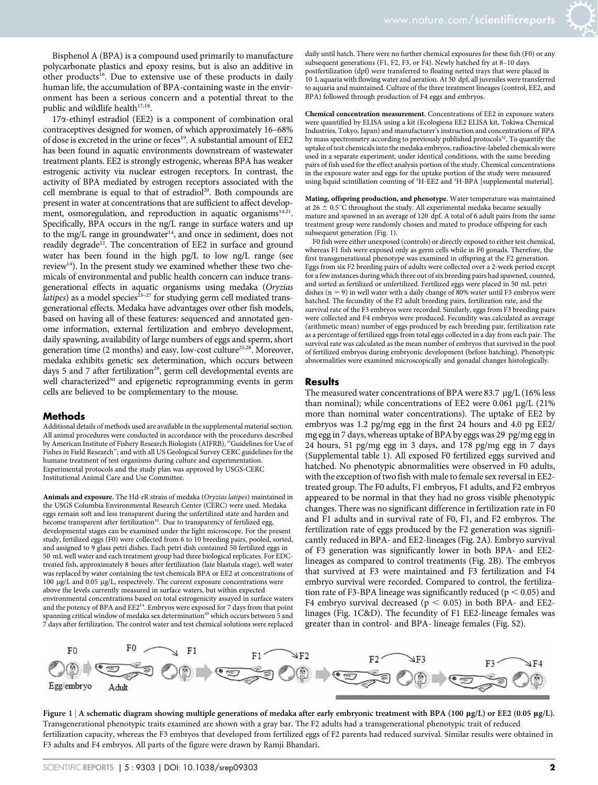Bisphenol A (BPA) is a compound used primarily to manufacture polycarbonate plastics and epoxy resins, but is also an additive in other products<sup>16</sup>. Due to extensive use of these products in daily human life, the accumulation of BPA-containing waste in the environment has been a serious concern and a potential threat to the public and wildlife health $17,18$ .

 $17\alpha$ -ethinyl estradiol (EE2) is a component of combination oral contraceptives designed for women, of which approximately 16–68% of dose is excreted in the urine or feces<sup>19</sup>. A substantial amount of EE2 has been found in aquatic environments downstream of wastewater treatment plants. EE2 is strongly estrogenic, whereas BPA has weaker estrogenic activity via nuclear estrogen receptors. In contrast, the activity of BPA mediated by estrogen receptors associated with the cell membrane is equal to that of estradiol<sup>20</sup>. Both compounds are present in water at concentrations that are sufficient to affect development, osmoregulation, and reproduction in aquatic organisms<sup>14,21</sup>. Specifically, BPA occurs in the ng/L range in surface waters and up to the mg/L range in groundwater<sup>14</sup>, and once in sediment, does not readily degrade<sup>22</sup>. The concentration of EE2 in surface and ground water has been found in the high pg/L to low ng/L range (see review $14$ ). In the present study we examined whether these two chemicals of environmental and public health concern can induce transgenerational effects in aquatic organisms using medaka (Oryzias *latipes*) as a model species<sup>23–27</sup> for studying germ cell mediated transgenerational effects. Medaka have advantages over other fish models, based on having all of these features: sequenced and annotated genome information, external fertilization and embryo development, daily spawning, availability of large numbers of eggs and sperm, short generation time (2 months) and easy, low-cost culture<sup>25,28</sup>. Moreover, medaka exhibits genetic sex determination, which occurs between days 5 and 7 after fertilization<sup>29</sup>, germ cell developmental events are well characterized<sup>30</sup> and epigenetic reprogramming events in germ cells are believed to be complementary to the mouse.

#### Methods

Additional details of methods used are available in the supplemental material section. All animal procedures were conducted in accordance with the procedures described by American Institute of Fishery Research Biologists (AIFRB), ''Guidelines for Use of Fishes in Field Research''; and with all US Geological Survey CERC guidelines for the humane treatment of test organisms during culture and experimentation. Experimental protocols and the study plan was approved by USGS-CERC Institutional Animal Care and Use Committee.

Animals and exposure. The Hd-rR strain of medaka (Oryzias latipes) maintained in the USGS Columbia Environmental Research Center (CERC) were used. Medaka eggs remain soft and less transparent during the unfertilized state and harden and become transparent after fertilization<sup>31</sup>. Due to transparency of fertilized egg, developmental stages can be examined under the light microscope. For the present study, fertilized eggs (F0) were collected from 6 to 10 breeding pairs, pooled, sorted, and assigned to 9 glass petri dishes. Each petri dish contained 50 fertilized eggs in 50 mL well water and each treatment group had three biological replicates. For EDCtreated fish, approximately 8 hours after fertilization (late blastula stage), well water was replaced by water containing the test chemicals BPA or EE2 at concentrations of 100 mg/L and 0.05 mg/L, respectively. The current exposure concentrations were above the levels currently measured in surface waters, but within expected environmental concentrations based on total estrogenicity assayed in surface waters and the potency of BPA and EE2<sup>14</sup>. Embryos were exposed for 7 days from that point spanning critical window of medaka sex determination<sup>29</sup> which occurs between 5 and 7 days after fertilization. The control water and test chemical solutions were replaced

daily until hatch. There were no further chemical exposures for these fish (F0) or any subsequent generations (F1, F2, F3, or F4). Newly hatched fry at 8–10 days postfertilization (dpf) were transferred to floating netted trays that were placed in 10 L aquaria with flowing water and aeration. At 30 dpf, all juveniles were transferred to aquaria and maintained. Culture of the three treatment lineages (control, EE2, and BPA) followed through production of F4 eggs and embryos.

Chemical concentration measurement. Concentrations of EE2 in exposure waters were quantified by ELISA using a kit (Ecologiena EE2 ELISA kit, Tokiwa Chemical Industries, Tokyo, Japan) and manufacturer's instruction and concentrations of BPA by mass spectrometry according to previously published protocols<sup>32</sup>. To quantify the uptake of test chemicals into the medaka embryos, radioactive-labeled chemicals were used in a separate experiment, under identical conditions, with the same breeding pairs of fish used for the effect analysis portion of the study. Chemical concentrations in the exposure water and eggs for the uptake portion of the study were measured using liquid scintillation counting of <sup>3</sup>H-EE2 and <sup>3</sup>H-BPA [supplemental material].

Mating, offspring production, and phenotype. Water temperature was maintained at  $26 \pm 0.5^{\circ}$ C throughout the study. All experimental medaka became sexually mature and spawned in an average of 120 dpf. A total of 6 adult pairs from the same treatment group were randomly chosen and mated to produce offspring for each subsequent generation (Fig. 1).

F0 fish were either unexposed (controls) or directly exposed to either test chemical, whereas F1 fish were exposed only as germ cells while in F0 gonads. Therefore, the first transgenerational phenotype was examined in offspring at the F2 generation. Eggs from six F2 breeding pairs of adults were collected over a 2-week period except for a few instances during which three out of six breeding pairs had spawned, counted, and sorted as fertilized or unfertilized. Fertilized eggs were placed in 50 mL petri dishes ( $n = 9$ ) in well water with a daily change of 80% water until F3 embryos were hatched. The fecundity of the F2 adult breeding pairs, fertilization rate, and the survival rate of the F3 embryos were recorded. Similarly, eggs from F3 breeding pairs were collected and F4 embryos were produced. Fecundity was calculated as average (arithmetic mean) number of eggs produced by each breeding pair, fertilization rate as a percentage of fertilized eggs from total eggs collected in a day from each pair. The survival rate was calculated as the mean number of embryos that survived in the pool of fertilized embryos during embryonic development (before hatching). Phenotypic abnormalities were examined microscopically and gonadal changes histologically.

#### **Results**

The measured water concentrations of BPA were 83.7  $\mu$ g/L (16% less than nominal); while concentrations of EE2 were  $0.061 \mu g/L$  (21%) more than nominal water concentrations). The uptake of EE2 by embryos was 1.2 pg/mg egg in the first 24 hours and 4.0 pg EE2/ mg egg in 7 days, whereas uptake of BPA by eggs was 29 pg/mg egg in 24 hours, 51 pg/mg egg in 3 days, and 178 pg/mg egg in 7 days (Supplemental table 1). All exposed F0 fertilized eggs survived and hatched. No phenotypic abnormalities were observed in F0 adults, with the exception of two fish with male to female sex reversal in EE2 treated group. The F0 adults, F1 embryos, F1 adults, and F2 embryos appeared to be normal in that they had no gross visible phenotypic changes. There was no significant difference in fertilization rate in F0 and F1 adults and in survival rate of F0, F1, and F2 embyros. The fertilization rate of eggs produced by the F2 generation was significantly reduced in BPA- and EE2-lineages (Fig. 2A). Embryo survival of F3 generation was significantly lower in both BPA- and EE2 lineages as compared to control treatments (Fig. 2B). The embryos that survived at F3 were maintained and F3 fertilization and F4 embryo survival were recorded. Compared to control, the fertilization rate of F3-BPA lineage was significantly reduced ( $p < 0.05$ ) and F4 embryo survival decreased ( $p < 0.05$ ) in both BPA- and EE2linages (Fig. 1C&D). The fecundity of F1 EE2-lineage females was greater than in control- and BPA- lineage females (Fig. S2).



Figure 1 | A schematic diagram showing multiple generations of medaka after early embryonic treatment with BPA (100 µg/L) or EE2 (0.05 µg/L). Transgenerational phenotypic traits examined are shown with a gray bar. The F2 adults had a transgenerational phenotypic trait of reduced fertilization capacity, whereas the F3 embryos that developed from fertilized eggs of F2 parents had reduced survival. Similar results were obtained in F3 adults and F4 embryos. All parts of the figure were drawn by Ramji Bhandari.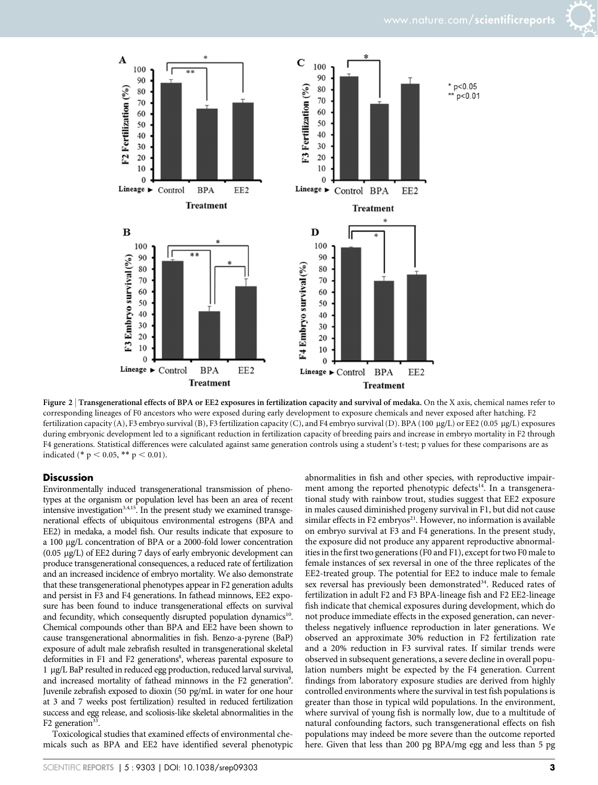$*$  p<0.05

p<0.01





Figure 2 | Transgenerational effects of BPA or EE2 exposures in fertilization capacity and survival of medaka. On the X axis, chemical names refer to corresponding lineages of F0 ancestors who were exposed during early development to exposure chemicals and never exposed after hatching. F2 fertilization capacity (A), F3 embryo survival (B), F3 fertilization capacity (C), and F4 embryo survival (D). BPA (100 µg/L) or EE2 (0.05 µg/L) exposures during embryonic development led to a significant reduction in fertilization capacity of breeding pairs and increase in embryo mortality in F2 through F4 generations. Statistical differences were calculated against same generation controls using a student's t-test; p values for these comparisons are as indicated (\* p < 0.05, \*\* p < 0.01).

#### **Discussion**

Environmentally induced transgenerational transmission of phenotypes at the organism or population level has been an area of recent intensive investigation<sup>3,4,15</sup>. In the present study we examined transgenerational effects of ubiquitous environmental estrogens (BPA and EE2) in medaka, a model fish. Our results indicate that exposure to a 100 mg/L concentration of BPA or a 2000-fold lower concentration (0.05 mg/L) of EE2 during 7 days of early embryonic development can produce transgenerational consequences, a reduced rate of fertilization and an increased incidence of embryo mortality. We also demonstrate that these transgenerational phenotypes appear in F2 generation adults and persist in F3 and F4 generations. In fathead minnows, EE2 exposure has been found to induce transgenerational effects on survival and fecundity, which consequently disrupted population dynamics<sup>10</sup>. Chemical compounds other than BPA and EE2 have been shown to cause transgenerational abnormalities in fish. Benzo-a-pyrene (BaP) exposure of adult male zebrafish resulted in transgenerational skeletal deformities in F1 and F2 generations<sup>8</sup>, whereas parental exposure to 1 mg/L BaP resulted in reduced egg production, reduced larval survival, and increased mortality of fathead minnows in the F2 generation<sup>9</sup>. Juvenile zebrafish exposed to dioxin (50 pg/mL in water for one hour at 3 and 7 weeks post fertilization) resulted in reduced fertilization success and egg release, and scoliosis-like skeletal abnormalities in the F2 generation<sup>33</sup>.

Toxicological studies that examined effects of environmental chemicals such as BPA and EE2 have identified several phenotypic abnormalities in fish and other species, with reproductive impairment among the reported phenotypic defects<sup>14</sup>. In a transgenerational study with rainbow trout, studies suggest that EE2 exposure in males caused diminished progeny survival in F1, but did not cause similar effects in F2 embryos<sup>21</sup>. However, no information is available on embryo survival at F3 and F4 generations. In the present study, the exposure did not produce any apparent reproductive abnormalities in the first two generations (F0 and F1), except for two F0 male to female instances of sex reversal in one of the three replicates of the EE2-treated group. The potential for EE2 to induce male to female sex reversal has previously been demonstrated<sup>34</sup>. Reduced rates of fertilization in adult F2 and F3 BPA-lineage fish and F2 EE2-lineage fish indicate that chemical exposures during development, which do not produce immediate effects in the exposed generation, can nevertheless negatively influence reproduction in later generations. We observed an approximate 30% reduction in F2 fertilization rate and a 20% reduction in F3 survival rates. If similar trends were observed in subsequent generations, a severe decline in overall population numbers might be expected by the F4 generation. Current findings from laboratory exposure studies are derived from highly controlled environments where the survival in test fish populations is greater than those in typical wild populations. In the environment, where survival of young fish is normally low, due to a multitude of natural confounding factors, such transgenerational effects on fish populations may indeed be more severe than the outcome reported here. Given that less than 200 pg BPA/mg egg and less than 5 pg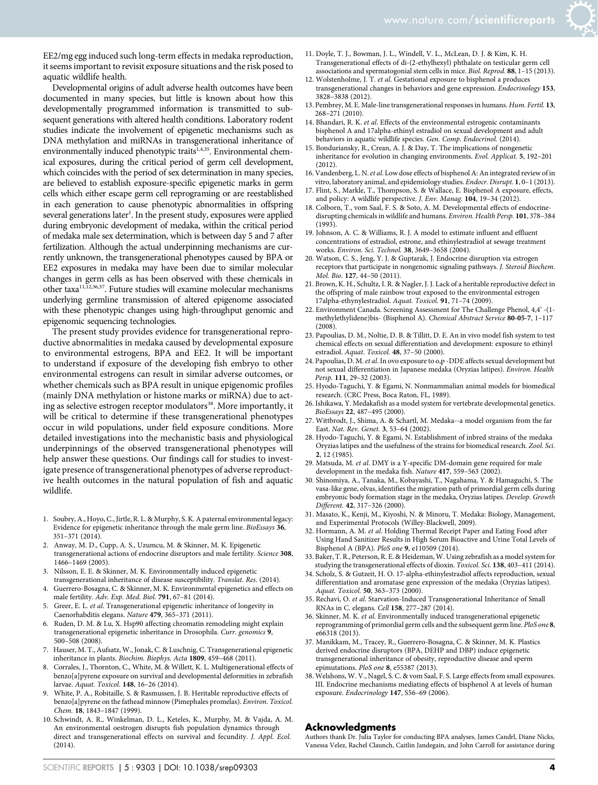EE2/mg egg induced such long-term effects in medaka reproduction, it seems important to revisit exposure situations and the risk posed to aquatic wildlife health.

Developmental origins of adult adverse health outcomes have been documented in many species, but little is known about how this developmentally programmed information is transmitted to subsequent generations with altered health conditions. Laboratory rodent studies indicate the involvement of epigenetic mechanisms such as DNA methylation and miRNAs in transgenerational inheritance of environmentally induced phenotypic traits<sup>1,4,35</sup>. Environmental chemical exposures, during the critical period of germ cell development, which coincides with the period of sex determination in many species, are believed to establish exposure-specific epigenetic marks in germ cells which either escape germ cell reprograming or are reestablished in each generation to cause phenotypic abnormalities in offspring several generations later<sup>1</sup>. In the present study, exposures were applied during embryonic development of medaka, within the critical period of medaka male sex determination, which is between day 5 and 7 after fertilization. Although the actual underpinning mechanisms are currently unknown, the transgenerational phenotypes caused by BPA or EE2 exposures in medaka may have been due to similar molecular changes in germ cells as has been observed with these chemicals in other taxa11,12,36,37. Future studies will examine molecular mechanisms underlying germline transmission of altered epigenome associated with these phenotypic changes using high-throughput genomic and epigenomic sequencing technologies.

The present study provides evidence for transgenerational reproductive abnormalities in medaka caused by developmental exposure to environmental estrogens, BPA and EE2. It will be important to understand if exposure of the developing fish embryo to other environmental estrogens can result in similar adverse outcomes, or whether chemicals such as BPA result in unique epigenomic profiles (mainly DNA methylation or histone marks or miRNA) due to acting as selective estrogen receptor modulators<sup>38</sup>. More importantly, it will be critical to determine if these transgenerational phenotypes occur in wild populations, under field exposure conditions. More detailed investigations into the mechanistic basis and physiological underpinnings of the observed transgenerational phenotypes will help answer these questions. Our findings call for studies to investigate presence of transgenerational phenotypes of adverse reproductive health outcomes in the natural population of fish and aquatic wildlife.

- 1. Soubry, A., Hoyo, C., Jirtle, R. L. & Murphy, S. K. A paternal environmental legacy: Evidence for epigenetic inheritance through the male germ line. BioEssays 36, 351–371 (2014).
- 2. Anway, M. D., Cupp, A. S., Uzumcu, M. & Skinner, M. K. Epigenetic transgenerational actions of endocrine disruptors and male fertility. Science 308, 1466–1469 (2005).
- 3. Nilsson, E. E. & Skinner, M. K. Environmentally induced epigenetic transgenerational inheritance of disease susceptibility. Translat. Res. (2014).
- 4. Guerrero-Bosagna, C. & Skinner, M. K. Environmental epigenetics and effects on male fertility. Adv. Exp. Med. Biol. 791, 67–81 (2014).
- 5. Greer, E. L. et al. Transgenerational epigenetic inheritance of longevity in Caenorhabditis elegans. Nature 479, 365–371 (2011).
- 6. Ruden, D. M. & Lu, X. Hsp90 affecting chromatin remodeling might explain transgenerational epigenetic inheritance in Drosophila. Curr. genomics 9, 500–508 (2008).
- 7. Hauser, M. T., Aufsatz, W., Jonak, C. & Luschnig, C. Transgenerational epigenetic inheritance in plants. Biochim. Biophys. Acta 1809, 459–468 (2011).
- 8. Corrales, J., Thornton, C., White, M. & Willett, K. L. Multigenerational effects of benzo[a]pyrene exposure on survival and developmental deformities in zebrafish larvae. Aquat. Toxicol. 148, 16–26 (2014).
- 9. White, P. A., Robitaille, S. & Rasmussen, J. B. Heritable reproductive effects of benzo[a]pyrene on the fathead minnow (Pimephales promelas). Environ. Toxicol. Chem. 18, 1843–1847 (1999).
- 10. Schwindt, A. R., Winkelman, D. L., Keteles, K., Murphy, M. & Vajda, A. M. An environmental oestrogen disrupts fish population dynamics through direct and transgenerational effects on survival and fecundity. J. Appl. Ecol. (2014).
- 11. Doyle, T. J., Bowman, J. L., Windell, V. L., McLean, D. J. & Kim, K. H. Transgenerational effects of di-(2-ethylhexyl) phthalate on testicular germ cell associations and spermatogonial stem cells in mice. Biol. Reprod. 88, 1–15 (2013).
- 12. Wolstenholme, J. T. et al. Gestational exposure to bisphenol a produces transgenerational changes in behaviors and gene expression. Endocrinology 153, 3828–3838 (2012).
- 13. Pembrey, M. E. Male-line transgenerational responses in humans. Hum. Fertil. 13, 268–271 (2010).
- 14. Bhandari, R. K. et al. Effects of the environmental estrogenic contaminants bisphenol A and 17alpha-ethinyl estradiol on sexual development and adult behaviors in aquatic wildlife species. Gen. Comp. Endocrinol. (2014).
- 15. Bonduriansky, R., Crean, A. J. & Day, T. The implications of nongenetic inheritance for evolution in changing environments. Evol. Applicat. 5, 192–201  $(2012)$
- 16. Vandenberg, L. N. et al. Low dose effects of bisphenol A: An integrated review of in vitro, laboratory animal, and epidemiology studies. Endocr. Disrupt. 1, 0–1 (2013).
- 17. Flint, S., Markle, T., Thompson, S. & Wallace, E. Bisphenol A exposure, effects, and policy: A wildlife perspective. J. Env. Manag. 104, 19–34 (2012).
- 18. Colborn, T., vom Saal, F. S. & Soto, A. M. Developmental effects of endocrinedisrupting chemicals in wildlife and humans. Environ. Health Persp. 101, 378–384  $(1993)$ .
- 19. Johnson, A. C. & Williams, R. J. A model to estimate influent and effluent concentrations of estradiol, estrone, and ethinylestradiol at sewage treatment works. Environ. Sci. Technol. 38, 3649–3658 (2004).
- 20. Watson, C. S., Jeng, Y. J. & Guptarak, J. Endocrine disruption via estrogen receptors that participate in nongenomic signaling pathways. J. Steroid Biochem. Mol. Bio. 127, 44–50 (2011).
- 21. Brown, K. H., Schultz, I. R. & Nagler, J. J. Lack of a heritable reproductive defect in the offspring of male rainbow trout exposed to the environmental estrogen 17alpha-ethynylestradiol. Aquat. Toxicol. 91, 71–74 (2009).
- 22. Environment Canada. Screening Assessment for The Challenge Phenol, 4,4' -(1 methylethylidene)bis- (Bisphenol A). Chemical Abstract Service 80-05-7, 1–117 (2008).
- 23. Papoulias, D. M., Noltie, D. B. & Tillitt, D. E. An in vivo model fish system to test chemical effects on sexual differentiation and development: exposure to ethinyl estradiol. Aquat. Toxicol. 48, 37–50 (2000).
- 24. Papoulias, D. M. et al. In ovo exposure to o,p -DDE affects sexual development but not sexual differentiation in Japanese medaka (Oryzias latipes). Environ. Health Persp. 111, 29-32 (2003).
- 25. Hyodo-Taguchi, Y. & Egami, N. Nonmammalian animal models for biomedical research. (CRC Press, Boca Raton, FL, 1989).
- 26. Ishikawa, Y. Medakafish as a model system for vertebrate developmental genetics. BioEssays 22, 487–495 (2000).
- 27. Wittbrodt, J., Shima, A. & Schartl, M. Medaka--a model organism from the far East. Nat. Rev. Genet. 3, 53–64 (2002).
- 28. Hyodo-Taguchi, Y. & Egami, N. Establishment of inbred strains of the medaka Oryzias latipes and the usefulness of the strains for biomedical research. Zool. Sci. 2, 12 (1985).
- 29. Matsuda, M. et al. DMY is a Y-specific DM-domain gene required for male development in the medaka fish. Nature 417, 559–563 (2002).
- 30. Shinomiya, A., Tanaka, M., Kobayashi, T., Nagahama, Y. & Hamaguchi, S. The vasa-like gene, olvas, identifies the migration path of primordial germ cells during embryonic body formation stage in the medaka, Oryzias latipes. Develop. Growth Different. 42, 317–326 (2000).
- 31. Masato, K., Kenji, M., Kiyoshi, N. & Minoru, T. Medaka: Biology, Management, and Experimental Protocols (Willey-Blackwell, 2009).
- 32. Hormann, A. M. et al. Holding Thermal Receipt Paper and Eating Food after Using Hand Sanitizer Results in High Serum Bioactive and Urine Total Levels of Bisphenol A (BPA). PloS one 9, e110509 (2014).
- 33. Baker, T. R., Peterson, R. E. & Heideman, W. Using zebrafish as a model system for studying the transgenerational effects of dioxin. Toxicol. Sci. 138, 403–411 (2014).
- 34. Scholz, S. & Gutzeit, H. O. 17-alpha-ethinylestradiol affects reproduction, sexual differentiation and aromatase gene expression of the medaka (Oryzias latipes). Aquat. Toxicol. 50, 363-373 (2000).
- 35. Rechavi, O. et al. Starvation-Induced Transgenerational Inheritance of Small RNAs in C. elegans. Cell 158, 277–287 (2014).
- 36. Skinner, M. K. et al. Environmentally induced transgenerational epigenetic reprogramming of primordial germ cells and the subsequent germ line. PloS one 8, e66318 (2013).
- 37. Manikkam, M., Tracey, R., Guerrero-Bosagna, C. & Skinner, M. K. Plastics derived endocrine disruptors (BPA, DEHP and DBP) induce epigenetic transgenerational inheritance of obesity, reproductive disease and sperm epimutations. PloS one 8, e55387 (2013).
- 38. Welshons, W. V., Nagel, S. C. & vom Saal, F. S. Large effects from small exposures. III. Endocrine mechanisms mediating effects of bisphenol A at levels of human exposure. Endocrinology 147, S56–69 (2006).

#### Acknowledgments

Authors thank Dr. Julia Taylor for conducting BPA analyses, James Candrl, Diane Nicks, Vanessa Velez, Rachel Claunch, Caitlin Jandegain, and John Carroll for assistance during